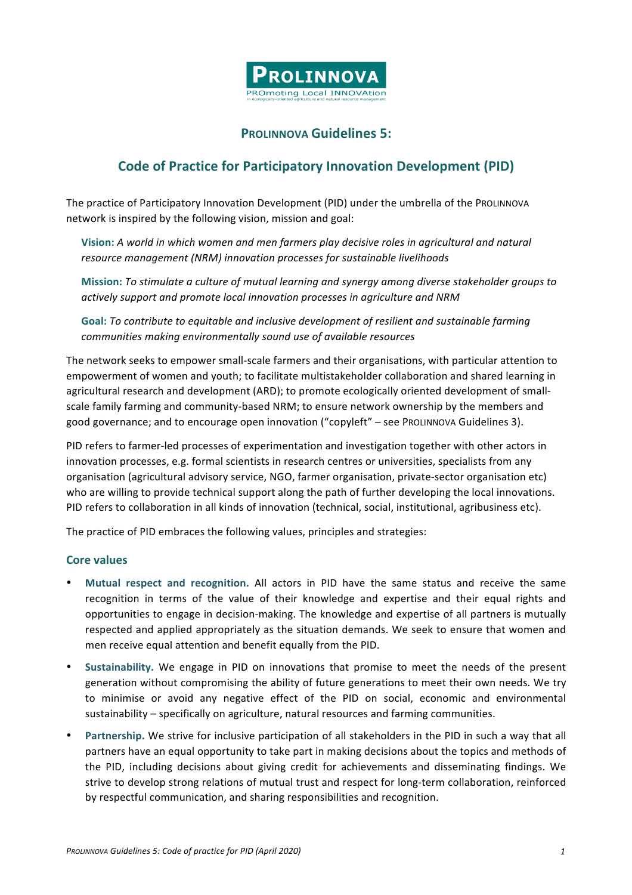

## **PROLINNOVA Guidelines 5:**

# **Code of Practice for Participatory Innovation Development (PID)**

The practice of Participatory Innovation Development (PID) under the umbrella of the PROLINNOVA network is inspired by the following vision, mission and goal:

Vision: A world in which women and men farmers play decisive roles in agricultural and natural *resource management (NRM) innovation processes for sustainable livelihoods* 

**Mission:** To stimulate a culture of mutual learning and synergy among diverse stakeholder groups to *actively support and promote local innovation processes in agriculture and NRM*

Goal: To contribute to equitable and inclusive development of resilient and sustainable farming communities making environmentally sound use of available resources

The network seeks to empower small-scale farmers and their organisations, with particular attention to empowerment of women and youth; to facilitate multistakeholder collaboration and shared learning in agricultural research and development (ARD); to promote ecologically oriented development of smallscale family farming and community-based NRM; to ensure network ownership by the members and good governance; and to encourage open innovation ("copyleft" - see PROLINNOVA Guidelines 3).

PID refers to farmer-led processes of experimentation and investigation together with other actors in innovation processes, e.g. formal scientists in research centres or universities, specialists from any organisation (agricultural advisory service, NGO, farmer organisation, private-sector organisation etc) who are willing to provide technical support along the path of further developing the local innovations. PID refers to collaboration in all kinds of innovation (technical, social, institutional, agribusiness etc).

The practice of PID embraces the following values, principles and strategies:

#### **Core** values

- Mutual respect and recognition. All actors in PID have the same status and receive the same recognition in terms of the value of their knowledge and expertise and their equal rights and opportunities to engage in decision-making. The knowledge and expertise of all partners is mutually respected and applied appropriately as the situation demands. We seek to ensure that women and men receive equal attention and benefit equally from the PID.
- Sustainability. We engage in PID on innovations that promise to meet the needs of the present generation without compromising the ability of future generations to meet their own needs. We try to minimise or avoid any negative effect of the PID on social, economic and environmental sustainability – specifically on agriculture, natural resources and farming communities.
- Partnership. We strive for inclusive participation of all stakeholders in the PID in such a way that all partners have an equal opportunity to take part in making decisions about the topics and methods of the PID, including decisions about giving credit for achievements and disseminating findings. We strive to develop strong relations of mutual trust and respect for long-term collaboration, reinforced by respectful communication, and sharing responsibilities and recognition.